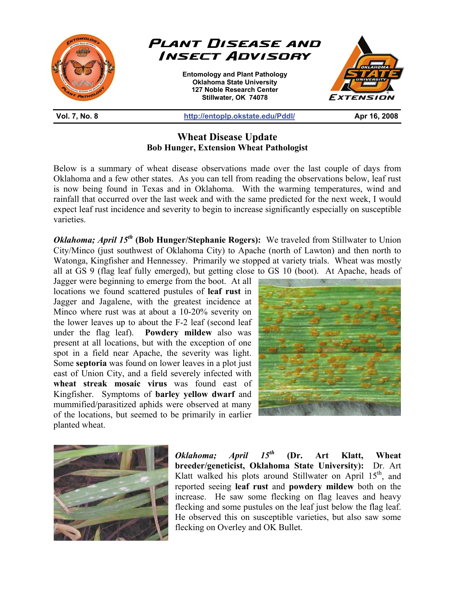

## **Wheat Disease Update Bob Hunger, Extension Wheat Pathologist**

Below is a summary of wheat disease observations made over the last couple of days from Oklahoma and a few other states. As you can tell from reading the observations below, leaf rust is now being found in Texas and in Oklahoma. With the warming temperatures, wind and rainfall that occurred over the last week and with the same predicted for the next week, I would expect leaf rust incidence and severity to begin to increase significantly especially on susceptible varieties.

*Oklahoma; April 15<sup>th</sup>* **(Bob Hunger/Stephanie Rogers):** We traveled from Stillwater to Union City/Minco (just southwest of Oklahoma City) to Apache (north of Lawton) and then north to Watonga, Kingfisher and Hennessey. Primarily we stopped at variety trials. Wheat was mostly all at GS 9 (flag leaf fully emerged), but getting close to GS 10 (boot). At Apache, heads of

Jagger were beginning to emerge from the boot. At all locations we found scattered pustules of **leaf rust** in Jagger and Jagalene, with the greatest incidence at Minco where rust was at about a 10-20% severity on the lower leaves up to about the F-2 leaf (second leaf under the flag leaf). **Powdery mildew** also was present at all locations, but with the exception of one spot in a field near Apache, the severity was light. Some **septoria** was found on lower leaves in a plot just east of Union City, and a field severely infected with **wheat streak mosaic virus** was found east of Kingfisher. Symptoms of **barley yellow dwarf** and mummified/parasitized aphids were observed at many of the locations, but seemed to be primarily in earlier planted wheat.





*Oklahoma; April 15th* **(Dr. Art Klatt, Wheat breeder/geneticist, Oklahoma State University):** Dr. Art Klatt walked his plots around Stillwater on April  $15<sup>th</sup>$ , and reported seeing **leaf rust** and **powdery mildew** both on the increase. He saw some flecking on flag leaves and heavy flecking and some pustules on the leaf just below the flag leaf. He observed this on susceptible varieties, but also saw some flecking on Overley and OK Bullet.